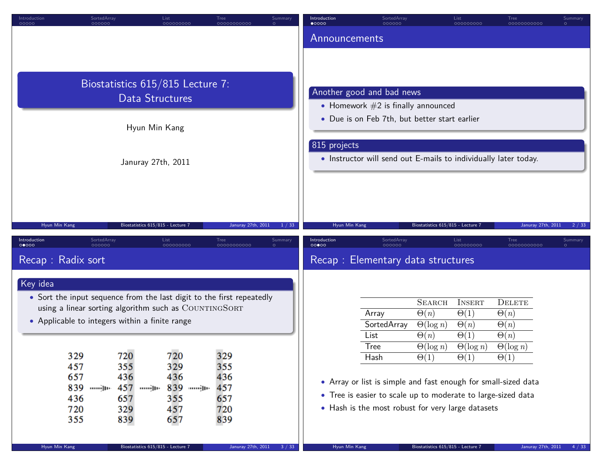| Introduction<br>00000 | SortedArray<br>000000 | List<br>000000000                                                                                                              | Tree<br>0000000000  | Summary<br>$\circ$ | Introduction<br>$\bullet$ 0000 | SortedArray<br>000000                                             |                                   | List<br>000000000          | Tree<br>0000000000         | Summary |
|-----------------------|-----------------------|--------------------------------------------------------------------------------------------------------------------------------|---------------------|--------------------|--------------------------------|-------------------------------------------------------------------|-----------------------------------|----------------------------|----------------------------|---------|
|                       |                       |                                                                                                                                |                     |                    | Announcements                  |                                                                   |                                   |                            |                            |         |
|                       |                       |                                                                                                                                |                     |                    |                                |                                                                   |                                   |                            |                            |         |
|                       |                       |                                                                                                                                |                     |                    |                                |                                                                   |                                   |                            |                            |         |
|                       |                       | Biostatistics 615/815 Lecture 7:                                                                                               |                     |                    |                                |                                                                   |                                   |                            |                            |         |
|                       |                       | Data Structures                                                                                                                |                     |                    |                                | Another good and bad news<br>• Homework $#2$ is finally announced |                                   |                            |                            |         |
|                       |                       |                                                                                                                                |                     |                    |                                | • Due is on Feb 7th, but better start earlier                     |                                   |                            |                            |         |
|                       |                       | Hyun Min Kang                                                                                                                  |                     |                    |                                |                                                                   |                                   |                            |                            |         |
|                       |                       |                                                                                                                                |                     |                    | 815 projects                   |                                                                   |                                   |                            |                            |         |
|                       |                       | Januray 27th, 2011                                                                                                             |                     |                    |                                | • Instructor will send out E-mails to individually later today.   |                                   |                            |                            |         |
|                       |                       |                                                                                                                                |                     |                    |                                |                                                                   |                                   |                            |                            |         |
|                       |                       |                                                                                                                                |                     |                    |                                |                                                                   |                                   |                            |                            |         |
|                       |                       |                                                                                                                                |                     |                    |                                |                                                                   |                                   |                            |                            |         |
| Hyun Min Kang         |                       | Biostatistics 615/815 - Lecture 7                                                                                              | Januray 27th, 2011  | 1 / 33             | Hyun Min Kang                  |                                                                   | Biostatistics 615/815 - Lecture 7 |                            | Januray 27th, 2011         | 2/33    |
| Introduction<br>00000 | SortedArray<br>000000 | List<br>000000000                                                                                                              | Tree<br>00000000000 | Summary            | Introduction<br>00000          | SortedArray<br>000000                                             |                                   | List<br>000000000          | Tree<br>00000000000        | Summary |
| Recap: Radix sort     |                       |                                                                                                                                |                     |                    |                                | Recap: Elementary data structures                                 |                                   |                            |                            |         |
|                       |                       |                                                                                                                                |                     |                    |                                |                                                                   |                                   |                            |                            |         |
| Key idea              |                       |                                                                                                                                |                     |                    |                                |                                                                   |                                   |                            |                            |         |
|                       |                       | • Sort the input sequence from the last digit to the first repeatedly<br>using a linear sorting algorithm such as COUNTINGSORT |                     |                    |                                |                                                                   | <b>SEARCH</b>                     | <b>INSERT</b>              | <b>DELETE</b>              |         |
|                       |                       | • Applicable to integers within a finite range                                                                                 |                     |                    |                                | Array<br><b>SortedArray</b>                                       | $\Theta(n)$                       | $\Theta(1)$                | $\Theta(n)$                |         |
|                       |                       |                                                                                                                                |                     |                    |                                | List                                                              | $\Theta(\log n)$<br>$\Theta(n)$   | $\Theta(n)$<br>$\Theta(1)$ | $\Theta(n)$<br>$\Theta(n)$ |         |
|                       |                       |                                                                                                                                |                     |                    |                                | <b>Tree</b>                                                       | $\Theta(\log n)$                  | $\Theta(\log n)$           | $\Theta(\log n)$           |         |
|                       | 329<br>457            | 720<br>720<br>355<br>329                                                                                                       | 329<br>355          |                    |                                | Hash                                                              | $\Theta(1)$                       | $\Theta(1)$                | $\Theta(1)$                |         |
|                       | 657                   | 436<br>436                                                                                                                     | 436                 |                    |                                | • Array or list is simple and fast enough for small-sized data    |                                   |                            |                            |         |
|                       | 839<br>սոսմիթ         | 457 <sub>JD</sub><br>839 <sub>jp</sub> .                                                                                       | 457                 |                    |                                | • Tree is easier to scale up to moderate to large-sized data      |                                   |                            |                            |         |
|                       | 436<br>720            | 355<br>657<br>457<br>329                                                                                                       | 657<br>720          |                    |                                | • Hash is the most robust for very large datasets                 |                                   |                            |                            |         |
|                       | 355                   | 839<br>657                                                                                                                     | 839                 |                    |                                |                                                                   |                                   |                            |                            |         |
|                       |                       |                                                                                                                                |                     |                    |                                |                                                                   |                                   |                            |                            |         |
| Hyun Min Kang         |                       | Biostatistics 615/815 - Lecture 7                                                                                              | Januray 27th, 2011  | 3 / 33             | Hyun Min Kang                  |                                                                   | Biostatistics 615/815 - Lecture 7 |                            | Januray 27th, 2011         | 4 / 33  |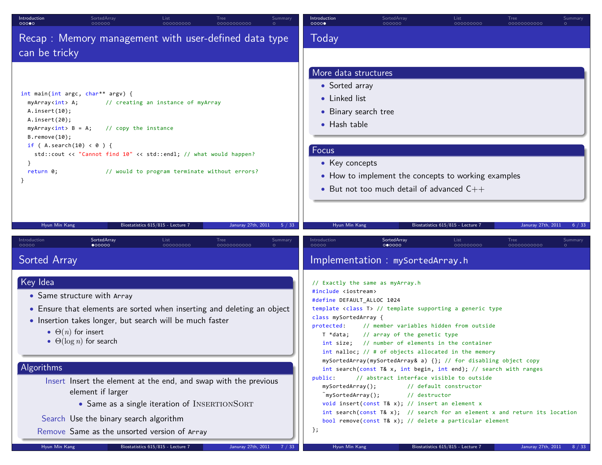| Introduction<br>SortedArray<br>00000                                                                                                                                                                                                                  | List                                                                                                                                                                                                                                                                                                                                               | <b>Tree</b>        | Summary<br>0000  | Introduction                                                                                                                                                                                                                | SortedArray                                                                                                                                                                                                                                                                                                                                                                                                                                                                                                                                                                                                                                                                                | List<br>000000000                 | Tree<br>0000000000 | Summary |
|-------------------------------------------------------------------------------------------------------------------------------------------------------------------------------------------------------------------------------------------------------|----------------------------------------------------------------------------------------------------------------------------------------------------------------------------------------------------------------------------------------------------------------------------------------------------------------------------------------------------|--------------------|------------------|-----------------------------------------------------------------------------------------------------------------------------------------------------------------------------------------------------------------------------|--------------------------------------------------------------------------------------------------------------------------------------------------------------------------------------------------------------------------------------------------------------------------------------------------------------------------------------------------------------------------------------------------------------------------------------------------------------------------------------------------------------------------------------------------------------------------------------------------------------------------------------------------------------------------------------------|-----------------------------------|--------------------|---------|
| can be tricky                                                                                                                                                                                                                                         | Recap: Memory management with user-defined data type                                                                                                                                                                                                                                                                                               |                    |                  | Today                                                                                                                                                                                                                       |                                                                                                                                                                                                                                                                                                                                                                                                                                                                                                                                                                                                                                                                                            |                                   |                    |         |
| int main(int argc, char** argv) {<br>myArray <int> A;<br/>A.insort(10);<br/>A.insort(20);<br/>myArray<int> B = A;<br/><math>B.</math> remove<math>(10)</math>;<br/>if (A.search(10) &lt; 0 ) {<br/><math>\mathcal{F}</math><br/>return 0;</int></int> | // creating an instance of myArray<br>// copy the instance<br>std::cout << "Cannot find 10" << std::endl; // what would happen?<br>// would to program terminate without errors?                                                                                                                                                                   |                    |                  | More data structures<br>• Sorted array<br>• Linked list<br>• Binary search tree<br>$\bullet$ Hash table<br>Focus<br>• Key concepts                                                                                          | • How to implement the concepts to working examples<br>• But not too much detail of advanced $C_{++}$                                                                                                                                                                                                                                                                                                                                                                                                                                                                                                                                                                                      |                                   |                    |         |
| Hyun Min Kang                                                                                                                                                                                                                                         | Biostatistics 615/815 - Lecture 7                                                                                                                                                                                                                                                                                                                  | Januray 27th, 2011 | 5 / 33           | Hyun Min Kang                                                                                                                                                                                                               |                                                                                                                                                                                                                                                                                                                                                                                                                                                                                                                                                                                                                                                                                            | Biostatistics 615/815 - Lecture 7 | Januray 27th, 2011 | 6 / 33  |
| SortedArray<br>Introduction<br>$\bullet$ 00000<br><b>Sorted Array</b>                                                                                                                                                                                 | List<br>000000000                                                                                                                                                                                                                                                                                                                                  | Tree<br>0000000000 | Summary<br>00000 | Introduction                                                                                                                                                                                                                | SortedArray<br>000000<br>Implementation : mySortedArray.h                                                                                                                                                                                                                                                                                                                                                                                                                                                                                                                                                                                                                                  | List<br>000000000                 | Tree<br>0000000000 | Summary |
| Key Idea<br>• Same structure with Array<br>$\bullet$ $\Theta(n)$ for insert<br>$\bullet$ $\Theta(\log n)$ for search<br>Algorithms<br>element if larger                                                                                               | • Ensure that elements are sorted when inserting and deleting an object<br>• Insertion takes longer, but search will be much faster<br>Insert Insert the element at the end, and swap with the previous<br>• Same as a single iteration of INSERTIONSORT<br>Search Use the binary search algorithm<br>Remove Same as the unsorted version of Array |                    | };               | // Exactly the same as myArray.h<br>#include <iostream><br/>#define DEFAULT_ALLOC 1024<br/>class mySortedArray {<br/>protected:<br/>T *data;<br/>public:<br/>mySortedArray();<br/><math>^</math>mySortedArray();</iostream> | template <class t=""> // template supporting a generic type<br/>// member variables hidden from outside<br/>// array of the genetic type<br/>int size; // number of elements in the container<br/>int nalloc; // # of objects allocated in the memory<br/>mySortedArray(mySortedArray&amp; a) {}; // for disabling object copy<br/>int search(const T&amp; x, int begin, int end); // search with ranges<br/>// abstract interface visible to outside<br/>// destructor<br/>void insert(const T&amp; x); // insert an element x<br/>int search(const T&amp; x); // search for an element x and return its location<br/>bool remove(const T&amp; x); // delete a particular element</class> | // default constructor            |                    |         |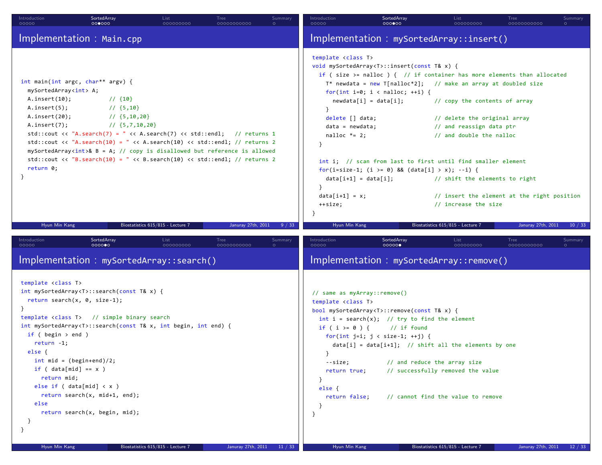| Introduction<br><b>00000</b>                                                                                                                                                                                                                                               | SortedArray<br>000000                                                                                                                                                                                                                                                                                                                                                                                                           | List<br>000000000                 | Tree<br>0000000000 | Summary<br>$\circ$ | Introduction<br>00000                                                                                                                                                                                                                 | SortedArray<br>0000000                                                                                                                                                                               | List<br>000000000                                                                                                                                                                                                                                                                                                                                                                                                                                | Tree<br>0000000000 | Summary |
|----------------------------------------------------------------------------------------------------------------------------------------------------------------------------------------------------------------------------------------------------------------------------|---------------------------------------------------------------------------------------------------------------------------------------------------------------------------------------------------------------------------------------------------------------------------------------------------------------------------------------------------------------------------------------------------------------------------------|-----------------------------------|--------------------|--------------------|---------------------------------------------------------------------------------------------------------------------------------------------------------------------------------------------------------------------------------------|------------------------------------------------------------------------------------------------------------------------------------------------------------------------------------------------------|--------------------------------------------------------------------------------------------------------------------------------------------------------------------------------------------------------------------------------------------------------------------------------------------------------------------------------------------------------------------------------------------------------------------------------------------------|--------------------|---------|
|                                                                                                                                                                                                                                                                            | Implementation : Main.cpp                                                                                                                                                                                                                                                                                                                                                                                                       |                                   |                    |                    |                                                                                                                                                                                                                                       |                                                                                                                                                                                                      | Implementation : mySortedArray::insert()                                                                                                                                                                                                                                                                                                                                                                                                         |                    |         |
| mySortedArray <int> A;<br/>A.insert(10);<br/>A.insert(5);<br/>A.insert(20);<br/>A.inert(7);<br/>return 0;<br/><math>\mathcal{F}</math></int>                                                                                                                               | int main(int argc, char** argv) {<br>$1/$ {10}<br>$1/$ {5,10}<br>$1/$ {5,10,20}<br>$\frac{1}{6}$ {5,7,10,20}<br>std::cout << "A.search(7) = " << A.search(7) << std::endl; // returns 1<br>std::cout << "A.search(10) = " << A.search(10) << std::endl; // returns 2<br>$mySortedArrayint>& B = A; // copy is disallowed but reference is allowed$<br>std::cout << "B.search(10) = " << B.search(10) << std::endl; // returns 2 |                                   |                    |                    | template <class t=""><br/>delete [] data;<br/><math>data = newdata;</math><br/>nalloc <math>*= 2;</math><br/><math>data[i+1] = data[i];</math><br/>}<br/><math>data[i+1] = x;</math><br/>++size;<br/><math>\mathcal{F}</math></class> | void mySortedArray <t>::insert(const T&amp; x) {<br/>for(int i=0; i &lt; nalloc; ++i) {<br/><math>newdata[i] = data[i];</math><br/>for(i=size-1; (i &gt;= 0) &amp;&amp; (data[i] &gt; x); --i) {</t> | if (size >= nalloc ) { $//$ if container has more elements than allocated<br>$T^*$ newdata = new T[nalloc*2]; // make an array at doubled size<br>// copy the contents of array<br>// delete the original array<br>// and reassign data ptr<br>// and double the nalloc<br>int i; // scan from last to first until find smaller element<br>// shift the elements to right<br>// insert the element at the right position<br>// increase the size |                    |         |
| Hyun Min Kang                                                                                                                                                                                                                                                              |                                                                                                                                                                                                                                                                                                                                                                                                                                 | Biostatistics 615/815 - Lecture 7 | Januray 27th, 2011 | 9 / 33             | Hyun Min Kang                                                                                                                                                                                                                         |                                                                                                                                                                                                      | Biostatistics 615/815 - Lecture 7                                                                                                                                                                                                                                                                                                                                                                                                                | Januray 27th, 2011 | 10/33   |
| Introduction<br>00000                                                                                                                                                                                                                                                      | SortedArray<br>0000000                                                                                                                                                                                                                                                                                                                                                                                                          | List<br>000000000                 | Tree<br>0000000000 | Summary            | Introduction<br>00000                                                                                                                                                                                                                 | SortedArray<br>00000                                                                                                                                                                                 | List<br>000000000                                                                                                                                                                                                                                                                                                                                                                                                                                | Tree<br>0000000000 | Summary |
|                                                                                                                                                                                                                                                                            | Implementation : mySortedArray::search()                                                                                                                                                                                                                                                                                                                                                                                        |                                   |                    |                    |                                                                                                                                                                                                                                       |                                                                                                                                                                                                      | Implementation : mySortedArray::remove()                                                                                                                                                                                                                                                                                                                                                                                                         |                    |         |
| template <class t=""><br/><math>\mathcal{F}</math><br/>if (<math>begin \gt{cases}</math> begin <math>&gt;</math> end )<br/><math>return -1</math>;<br/>else {<br/>if ( <math>data[\text{mid}] == x</math> )<br/>return mid;<br/>else<br/>}<br/>}<br/>Hyun Min Kang</class> | int mySortedArray <t>::search(const T&amp; x) {<br/>return search<math>(x, 0, size-1);</math><br/>template <class t=""> // simple binary search<br/>int mySortedArray<t>::search(const T&amp; x, int begin, int end) {<br/>int mid = <math>(begin+end)/2;</math><br/>else if <math>(data[\text{mid}] &lt; x)</math><br/>return search(x, mid+1, end);<br/>return search(x, begin, mid);</t></class></t>                         | Biostatistics 615/815 - Lecture 7 | Januray 27th, 2011 | 11 / 33            | // same as myArray::remove()<br>template <class t=""><br/>if ( <math>i &gt; = 0</math> ) {<br/>--size;<br/>return true;<br/><math>\mathcal{F}</math><br/>else {<br/>return false;<br/>}<br/>Hyun Min Kang</class>                     | bool mySortedArray <t>::remove(const T&amp; x) {<br/><math>int i = search(x);</math> // try to find the element<br/>// if found<br/>for(int <math>j=1</math>; <math>j &lt;</math> size-1; ++j) {</t> | $data[i] = data[i+1];$ // shift all the elements by one<br>// and reduce the array size<br>// successfully removed the value<br>// cannot find the value to remove<br>Biostatistics 615/815 - Lecture 7                                                                                                                                                                                                                                          | Januray 27th, 2011 | 12 / 33 |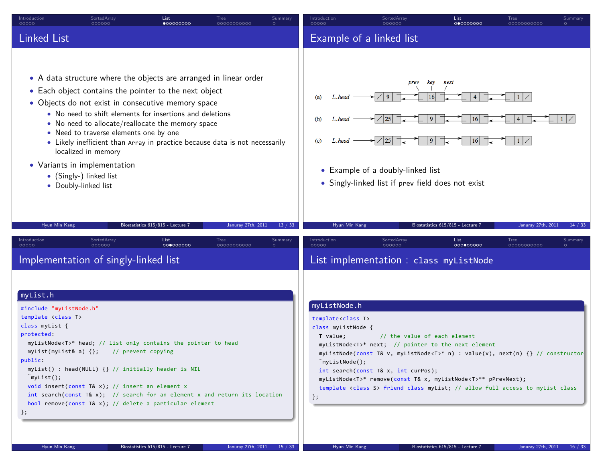| Introduction<br>00000                                                                                                                                                                        | SortedArray<br>000000                                                                                                                                                                                                                                                                                                                                                                                                                                                                                                                | List<br>000000000                 | <b>Tree</b><br>0000000000 | Summary | Introduction<br>00000                                                                                                                                   | SortedArray<br>000000                                                                                                                                                                                                                                                                                                                                                                                     | List<br>000000000                                                                         | Tree<br>0000000000                    | Summary |
|----------------------------------------------------------------------------------------------------------------------------------------------------------------------------------------------|--------------------------------------------------------------------------------------------------------------------------------------------------------------------------------------------------------------------------------------------------------------------------------------------------------------------------------------------------------------------------------------------------------------------------------------------------------------------------------------------------------------------------------------|-----------------------------------|---------------------------|---------|---------------------------------------------------------------------------------------------------------------------------------------------------------|-----------------------------------------------------------------------------------------------------------------------------------------------------------------------------------------------------------------------------------------------------------------------------------------------------------------------------------------------------------------------------------------------------------|-------------------------------------------------------------------------------------------|---------------------------------------|---------|
| <b>Linked List</b>                                                                                                                                                                           |                                                                                                                                                                                                                                                                                                                                                                                                                                                                                                                                      |                                   |                           |         |                                                                                                                                                         | Example of a linked list                                                                                                                                                                                                                                                                                                                                                                                  |                                                                                           |                                       |         |
| Hyun Min Kang                                                                                                                                                                                | • A data structure where the objects are arranged in linear order<br>• Each object contains the pointer to the next object<br>• Objects do not exist in consecutive memory space<br>• No need to shift elements for insertions and deletions<br>• No need to allocate/reallocate the memory space<br>• Need to traverse elements one by one<br>• Likely inefficient than Array in practice because data is not necessarily<br>localized in memory<br>• Variants in implementation<br>• (Singly-) linked list<br>• Doubly-linked list | Biostatistics 615/815 - Lecture 7 | Januray 27th, 2011        | 13 / 33 | (a)<br>L.head<br>(b)<br>L.head<br>(c)<br>L.head<br>Hyun Min Kang                                                                                        | prev<br>9<br> 25 <br>$\angle$  25 <br>• Example of a doubly-linked list<br>• Singly-linked list if prev field does not exist                                                                                                                                                                                                                                                                              | key<br>next<br>9<br>16 <sup>1</sup><br>  9  <br> 16 <br>Biostatistics 615/815 - Lecture 7 | $\vert 1 \vert$<br>Januray 27th, 2011 | 14 / 33 |
| Introduction<br>00000                                                                                                                                                                        | SortedArray<br>nnnnnn                                                                                                                                                                                                                                                                                                                                                                                                                                                                                                                | List<br>000000000                 | <b>Tree</b><br>0000000000 | Summary | Introduction<br>00000                                                                                                                                   | SortedArray<br>nnnnnr                                                                                                                                                                                                                                                                                                                                                                                     | List<br>000000000                                                                         | Tree<br>0000000000                    | Summary |
|                                                                                                                                                                                              | Implementation of singly-linked list                                                                                                                                                                                                                                                                                                                                                                                                                                                                                                 |                                   |                           |         |                                                                                                                                                         | List implementation : class myListNode                                                                                                                                                                                                                                                                                                                                                                    |                                                                                           |                                       |         |
| myList.h<br>#include "myListNode.h"<br>template <class t=""><br/>class myList {<br/>protected:<br/>public:<br/><math>\tilde{m}</math>yList();<br/><math>\}</math>;<br/>Hyun Min Kang</class> | myListNode <t>* head; // list only contains the pointer to head<br/>myList(myList&amp; a) {}; // prevent copying<br/><math>myList()</math> : head(NULL) <math>\{\}</math> // initially header is NIL<br/>void insert(const T&amp; x); // insert an element <math>x</math><br/>int search(const T&amp; x); // search for an element x and return its location<br/>bool remove(const T&amp; x); // delete a particular element</t>                                                                                                     | Biostatistics 615/815 - Lecture 7 | Januray 27th, 2011        | 15 / 33 | myListNode.h<br>template <class t=""><br/>class myListNode {<br/>T value;<br/><math>myListNode()</math>;<br/><math>\}</math>;<br/>Hyun Min Kang</class> | // the value of each element<br>myListNode <t>* next; // pointer to the next element<br/>myListNode(const T&amp; v, myListNode<t>* n) : value(v), next(n) {} // constructor<br/>int search(const T&amp; x, int curPos);<br/>myListNode<t>* remove(const T&amp; x, myListNode<t>** pPrevNext);<br/>template <class s=""> friend class myList; // allow full access to myList class</class></t></t></t></t> | Biostatistics 615/815 - Lecture 7                                                         | Januray 27th, 2011                    | 16 / 33 |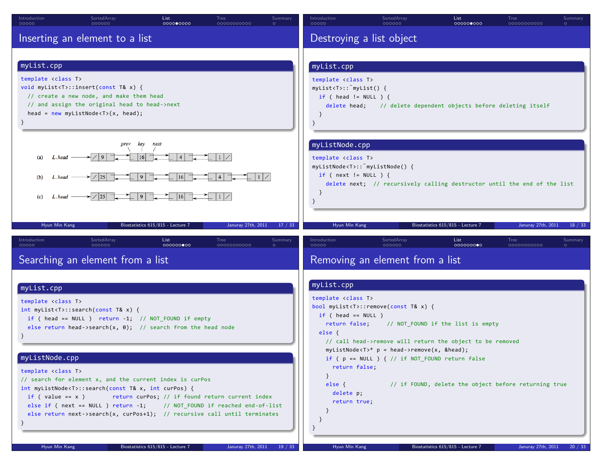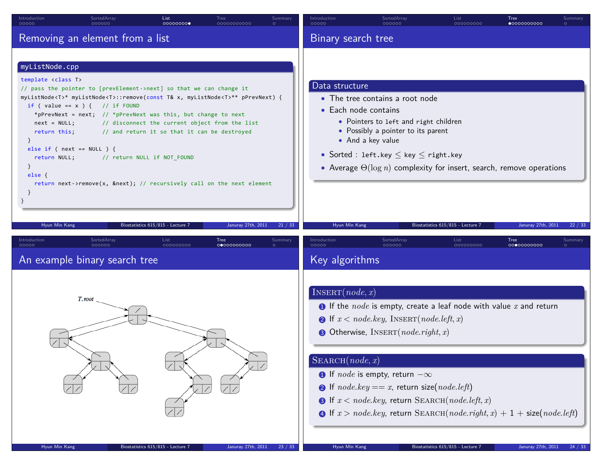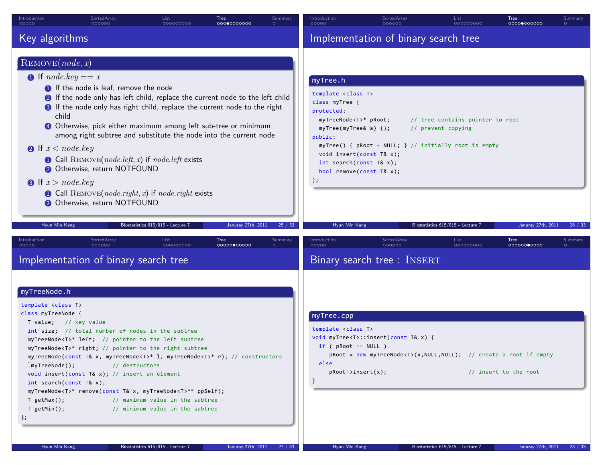| Introduction<br>00000                                                                                                                                                                                                                                                                          | SortedArray<br>000000                                                                                                                                                                                                                                                                                                                                                                                                                                                                                                                        | List<br>000000000                                                                                       | Tree<br>00000000000 | Summary | Introduction<br>00000                                                                                                                                                                                                                                                                       | SortedArray<br>000000                                                                                                   | List<br>000000000                                                                           | Tree<br>00000000000                         | Summary |
|------------------------------------------------------------------------------------------------------------------------------------------------------------------------------------------------------------------------------------------------------------------------------------------------|----------------------------------------------------------------------------------------------------------------------------------------------------------------------------------------------------------------------------------------------------------------------------------------------------------------------------------------------------------------------------------------------------------------------------------------------------------------------------------------------------------------------------------------------|---------------------------------------------------------------------------------------------------------|---------------------|---------|---------------------------------------------------------------------------------------------------------------------------------------------------------------------------------------------------------------------------------------------------------------------------------------------|-------------------------------------------------------------------------------------------------------------------------|---------------------------------------------------------------------------------------------|---------------------------------------------|---------|
| Key algorithms                                                                                                                                                                                                                                                                                 |                                                                                                                                                                                                                                                                                                                                                                                                                                                                                                                                              |                                                                                                         |                     |         |                                                                                                                                                                                                                                                                                             | Implementation of binary search tree                                                                                    |                                                                                             |                                             |         |
| REMove(node, x)<br><b>O</b> If node.key $== x$<br>child<br><b>2</b> If $x < node, key$<br><b>8</b> If $x > node(key)$<br>Hyun Min Kang                                                                                                                                                         | <b>O</b> If the node is leaf, remove the node<br>If the node only has left child, replace the current node to the left child<br><b>8</b> If the node only has right child, replace the current node to the right<br>4 Otherwise, pick either maximum among left sub-tree or minimum<br>among right subtree and substitute the node into the current node<br>$\bullet$ Call REMOVE(node.left, x) if node.left exists<br>Otherwise, return NOTFOUND<br>$\bullet$ Call REMOVE(node.right, x) if node.right exists<br>Otherwise, return NOTFOUND | Biostatistics 615/815 - Lecture 7                                                                       | Januray 27th, 2011  | 25 / 33 | myTree.h<br>template <class t=""><br/>class myTree {<br/>protected:<br/>myTreeNode<t>* pRoot;<br/>myTree(myTree&amp; a) {};<br/>public:<br/>void insert(const T&amp; x);<br/>int search(const T&amp;x);<br/>bool remove(const T&amp; x);<br/><math>\}</math>;<br/>Hyun Min Kang</t></class> | myTree() {        pRoot = NULL;        }        // initially root is empty                                              | // tree contains pointer to root<br>// prevent copying<br>Biostatistics 615/815 - Lecture 7 | Januray 27th, 2011                          | 26 / 33 |
| Introduction<br>nnnnn                                                                                                                                                                                                                                                                          | SortedArray<br>pooooc<br>Implementation of binary search tree                                                                                                                                                                                                                                                                                                                                                                                                                                                                                | List<br>000000000                                                                                       | Tree<br>00000000000 | Summary | Introduction<br>00000                                                                                                                                                                                                                                                                       | SortedArray<br>nnnnnr<br>Binary search tree : INSERT                                                                    | List<br>000000000                                                                           | Tree<br>00000000000                         | Summary |
| myTreeNode.h<br>template <class t=""><br/>class myTreeNode {<br/>T value; // key value<br/><math>\tilde{m}</math>y<math>T</math>ree<math>N</math>ode<math>()</math>;<br/>int search(const <math>T&amp;x</math>);<br/>T getMax();<br/><math>T getMin()</math>;<br/>};<br/>Hyun Min Kang</class> | int size; // total number of nodes in the subtree<br>myTreeNode <t>* left; // pointer to the left subtree<br/>myTreeNode<t>* right; // pointer to the right subtree<br/>myTreeNode(const T&amp; x, myTreeNode<t>* 1, myTreeNode<t>* r); // constructors<br/>// destructors<br/>void insert(const T&amp; x); // insert an element<br/>myTreeNode<t>* remove(const T&amp; x, myTreeNode<t>** ppSelf);</t></t></t></t></t></t>                                                                                                                  | // maximum value in the subtree<br>// minimum value in the subtree<br>Biostatistics 615/815 - Lecture 7 | Januray 27th, 2011  | 27/33   | myTree.cpp<br>template <class t=""><br/><math>if (pRoot == NULL)</math><br/>else<br/><math>pRoot\rightarrow insert(x);</math><br/><sup>}</sup><br/>Hyun Min Kang</class>                                                                                                                    | void myTree <t>::insert(const T&amp; x) {<br/>pRoot = new myTreeNode<t>(x,NULL,NULL); // create a root if empty</t></t> | Biostatistics 615/815 - Lecture 7                                                           | // insert to the root<br>Januray 27th, 2011 | 28 / 33 |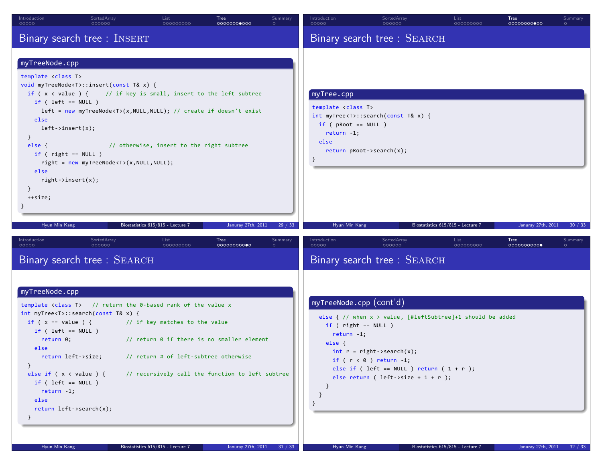